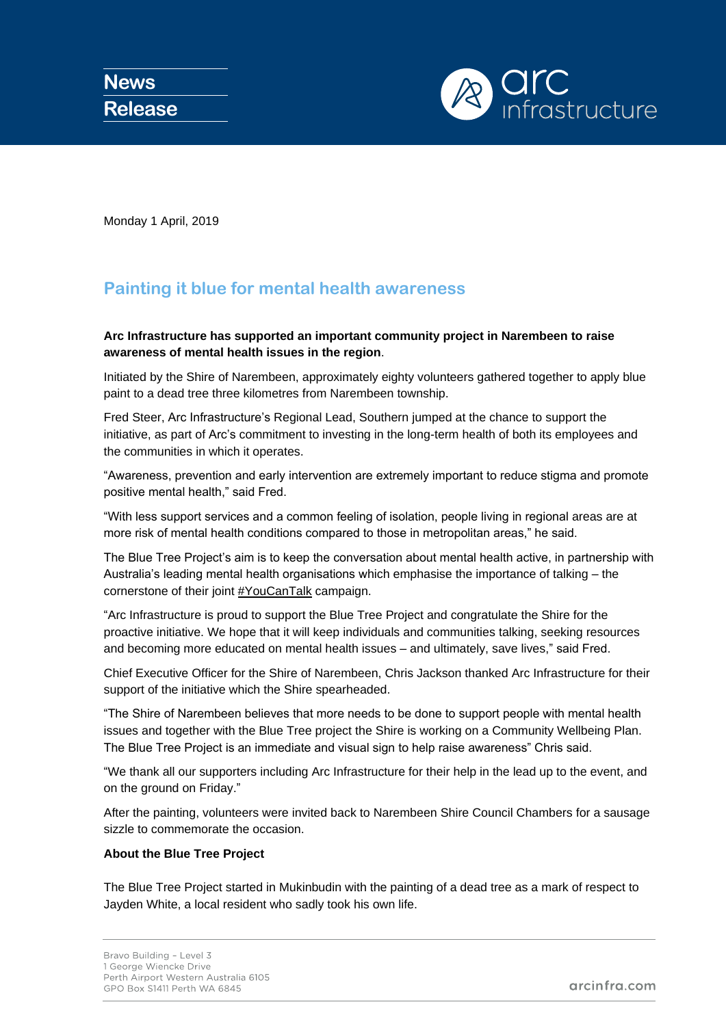

Monday 1 April, 2019

# **Painting it blue for mental health awareness**

## **Arc Infrastructure has supported an important community project in Narembeen to raise awareness of mental health issues in the region**.

Initiated by the Shire of Narembeen, approximately eighty volunteers gathered together to apply blue paint to a dead tree three kilometres from Narembeen township.

Fred Steer, Arc Infrastructure's Regional Lead, Southern jumped at the chance to support the initiative, as part of Arc's commitment to investing in the long-term health of both its employees and the communities in which it operates.

"Awareness, prevention and early intervention are extremely important to reduce stigma and promote positive mental health," said Fred.

"With less support services and a common feeling of isolation, people living in regional areas are at more risk of mental health conditions compared to those in metropolitan areas," he said.

The Blue Tree Project's aim is to keep the conversation about mental health active, in partnership with Australia's leading mental health organisations which emphasise the importance of talking – the cornerstone of their joint [#YouCanTalk](https://www.lifeinmindaustralia.com.au/youcantalk) campaign.

"Arc Infrastructure is proud to support the Blue Tree Project and congratulate the Shire for the proactive initiative. We hope that it will keep individuals and communities talking, seeking resources and becoming more educated on mental health issues – and ultimately, save lives," said Fred.

Chief Executive Officer for the Shire of Narembeen, Chris Jackson thanked Arc Infrastructure for their support of the initiative which the Shire spearheaded.

"The Shire of Narembeen believes that more needs to be done to support people with mental health issues and together with the Blue Tree project the Shire is working on a Community Wellbeing Plan. The Blue Tree Project is an immediate and visual sign to help raise awareness" Chris said.

"We thank all our supporters including Arc Infrastructure for their help in the lead up to the event, and on the ground on Friday."

After the painting, volunteers were invited back to Narembeen Shire Council Chambers for a sausage sizzle to commemorate the occasion.

### **About the Blue Tree Project**

The Blue Tree Project started in Mukinbudin with the painting of a dead tree as a mark of respect to Jayden White, a local resident who sadly took his own life.